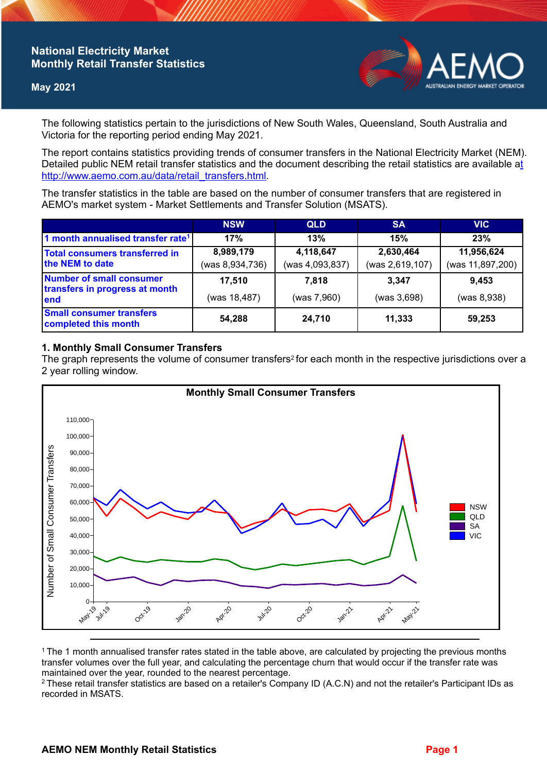# **National Electricity Market Monthly Retail Transfer Statistics**

### **May 2021**



The following statistics pertain to the jurisdictions of New South Wales, Queensland, South Australia and Victoria for the reporting period ending May 2021.

The report contains statistics providing trends of consumer transfers in the National Electricity Market (NEM). Detailed public NEM retail transfer statistics and the document describing the retail statistics are available a[t](http://www.aemo.com.au/data/retail_transfers.html)  http://www.aemo.com.au/data/retail\_transfers.html

The transfer statistics in the table are based on the number of consumer transfers that are registered in AEMO's market system - Market Settlements and Transfer Solution (MSATS).

|                                                                    | <b>NSW</b>      | <b>QLD</b>      | <b>SA</b>       | <b>VIC</b>       |
|--------------------------------------------------------------------|-----------------|-----------------|-----------------|------------------|
| 1 month annualised transfer rate <sup>1</sup>                      | 17%             | 13%             | 15%             | 23%              |
| Total consumers transferred in<br>the NEM to date                  | 8,989,179       | 4,118,647       | 2,630,464       | 11,956,624       |
|                                                                    | (was 8,934,736) | (was 4,093,837) | (was 2,619,107) | (was 11,897,200) |
| Number of small consumer<br>transfers in progress at month<br>lend | 17,510          | 7.818           | 3.347           | 9,453            |
|                                                                    | (was 18,487)    | (was 7,960)     | (was 3,698)     | (was 8,938)      |
| <b>Small consumer transfers</b><br>completed this month            | 54,288          | 24,710          | 11,333          | 59,253           |

### **1. Monthly Small Consumer Transfers**

The graph represents the volume of consumer transfers<sup>2</sup> for each month in the respective jurisdictions over a 2 year rolling window.



<sup>1</sup>The 1 month annualised transfer rates stated in the table above, are calculated by projecting the previous months transfer volumes over the full year, and calculating the percentage churn that would occur if the transfer rate was maintained over the year, rounded to the nearest percentage.

<sup>2</sup> These retail transfer statistics are based on a retailer's Company ID (A.C.N) and not the retailer's Participant IDs as recorded in MSATS.